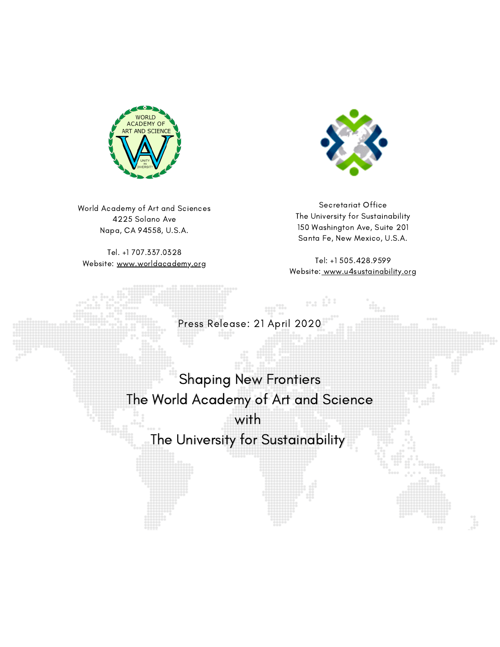

World Academy of Art and Sciences 4225 Solano Ave Napa, CA 94558, U.S.A.

Tel. +1 707.337.0328 Website: [www.worldacademy.org](http://www.worldacademy.org/)



Secretariat Office The University for Sustainability 150 Washington Ave, Suite 201 Santa Fe, New Mexico, U.S.A.

Tel: +1 505.428.9599 Website: [www.u4sustainability.org](http://www.u4sustainability.org/)

 $10.2$ 

Press Release: 21 April 2020

Shaping New Frontiers Shaping New Frontiers The World Academy of Art and Science The World Academy of Art and Science

with with The University for Sustainability The University for Sustainability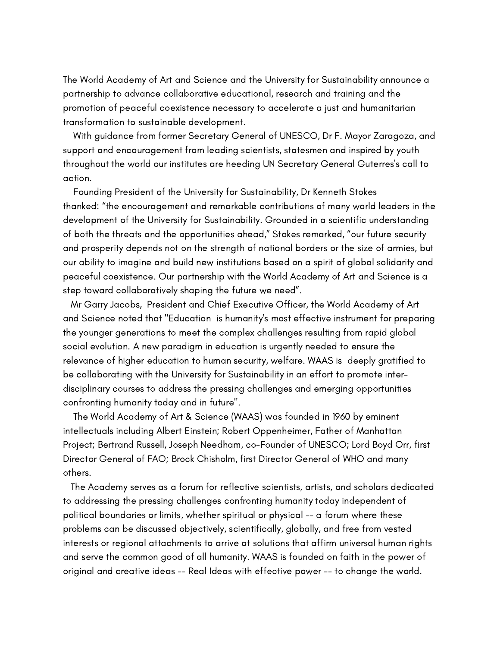The World Academy of Art and Science and the University for Sustainability announce a partnership to advance collaborative educational, research and training and the promotion of peaceful coexistence necessary to accelerate a just and humanitarian transformation to sustainable development.

With guidance from former Secretary General of UNESCO, Dr F. Mayor Zaragoza, and support and encouragement from leading scientists, statesmen and inspired by youth throughout the world our institutes are heeding UN Secretary General Guterres's call to action.

Founding President of the University for Sustainability, Dr Kenneth Stokes thanked: "the encouragement and remarkable contributions of many world leaders in the development of the University for Sustainability. Grounded in a scientific understanding of both the threats and the opportunities ahead," Stokes remarked, "our future security and prosperity depends not on the strength of national borders or the size of armies, but our ability to imagine and build new institutions based on a spirit of global solidarity and peaceful coexistence. Our partnership with the World Academy of Art and Science is a step toward collaboratively shaping the future we need".

Mr Garry Jacobs, President and Chief Executive Officer, the World Academy of Art and Science noted that "Education is humanity's most effective instrument for preparing the younger generations to meet the complex challenges resulting from rapid global social evolution. A new paradigm in education is urgently needed to ensure the relevance of higher education to human security, welfare. WAAS is deeply gratified to be collaborating with the University for Sustainability in an effort to promote interdisciplinary courses to address the pressing challenges and emerging opportunities confronting humanity today and in future".

The World Academy of Art & Science (WAAS) was founded in 1960 by eminent intellectuals including Albert Einstein; Robert Oppenheimer, Father of Manhattan Project; Bertrand Russell, Joseph Needham, co-Founder of UNESCO; Lord Boyd Orr, first Director General of FAO; Brock Chisholm, first Director General of WHO and many others.

The Academy serves as a forum for reflective scientists, artists, and scholars dedicated to addressing the pressing challenges confronting humanity today independent of political boundaries or limits, whether spiritual or physical -- a forum where these problems can be discussed objectively, scientifically, globally, and free from vested interests or regional attachments to arrive at solutions that affirm universal human rights and serve the common good of all humanity. WAAS is founded on faith in the power of original and creative ideas -- Real Ideas with effective power -- to change the world.